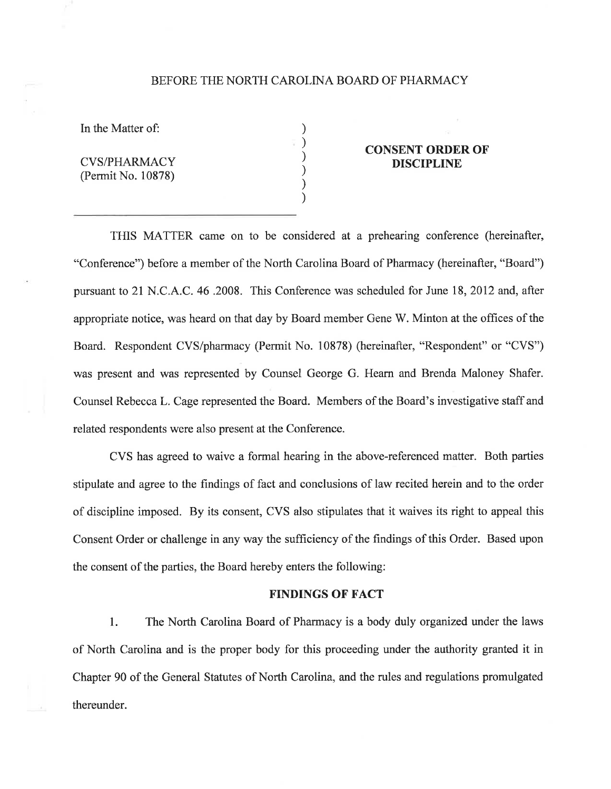#### BEFORE THE NORTH CAROLINA BOARD OF PHARMACY

) ) ) ) ) )

In the Matter of:

CVS/PHARMACY (Permit No. 10878)

# CONSENT ORDER OF DISCIPLINE

THIS MATTER came on to be considered at a prehearing conference (hereinafter, "Conference") before a member of the North Carolina Board of Pharmacy (hereinafter, "Board") pursuant to 21 N.C. A.C. 46 .2008. This Conference was scheduled for June 18,2012 and, after appropriate notice, was heard on that day by Board member Gene W. Minton at the offrces of the Board. Respondent CVS/pharmacy (Permit No. 10878) (hereinafter, "Respondent" or "CVS") was present and was represented by Counsel George G. Hearn and Brenda Maloney Shafer. Counsel Rebecca L. Cage represented the Board. Members of the Board's investigative staff and related respondents were also present at the Conference.

CVS has agreed to waive a formal hearing in the above-referenced matter. Both parties stipulate and agree to the findings of fact and conclusions of law recited herein and to the order of discipline imposed. By its consent, CVS also stipulates that it waives its right to appeal this Consent Order or challenge in any way the sufficiency of the findings of this Order. Based upon the consent of the parties, the Board hereby enters the following:

### FINDINGS OF FACT

1. The North Carolina Board of Pharmacy is a body duly organized under the laws of North Carolina and is the proper body for this proceeding under the authority granted it in Chapter 90 of the General Statutes of North Carolina, and the rules and regulations promulgated thereunder.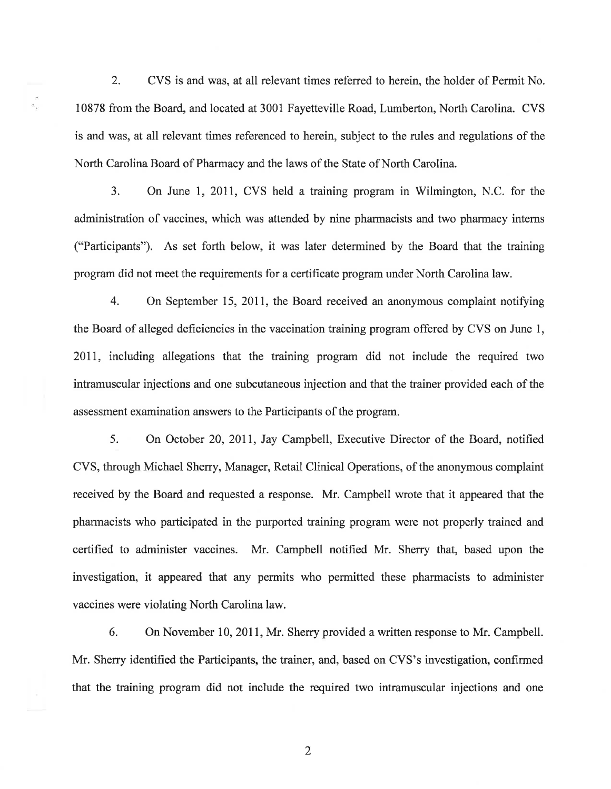2. CVS is and was, at all relevant times referred to herein, the holder of Permit No. 10878 from the Board, and located at 3001 Fayetteville Road, Lumberton, North Carolina. CVS is and was, at all relevant times referenced to herein, subject to the rules and regulations of the North Carolina Board of Pharmacy and the laws of the State of North Carolina.

3. On June 1,2011, CVS held a training program in Wilmington, N.C. for the administration of vaccines, which was attended by nine pharmacists and two pharmacy interns ("Participants"). As set forth below, it was later determined by the Board that the training program did not meet the requirements for a certificate program under North Carolina law.

4. On September 15, 2011, the Board received an anonymous complaint notifying the Board of alleged deficiencies in the vaccination training program offered by CVS on June 1, 2011, including allegations that the training program did not include the required two intramuscular injections and one subcutaneous injection and that the trainer provided each of the assessment examination answers to the Participants of the program.

5. On October 20,2011, Jay Campbell, Executive Director of the Board, notified CVS, through Michael Sherry, Manager, Retail Clinical Operations, of the anonymous complaint received by the Board and requested a response. Mr. Campbell wrote that it appeared that the pharmacists who participated in the purported training program were not properly trained and certified to administer vaccines. Mr. Campbell notified Mr. Sherry that, based upon the investigation, it appeared that any permits who permitted these pharmacists to administer vaccines were violating North Carolina law.

6. On November 10, 2011, Mr. Sherry provided a written response to Mr. Campbell. Mr. Sherry identified the Participants, the trainer, and, based on CVS's investigation, confirmed that the training program did not include the required two intramuscular injections and one

2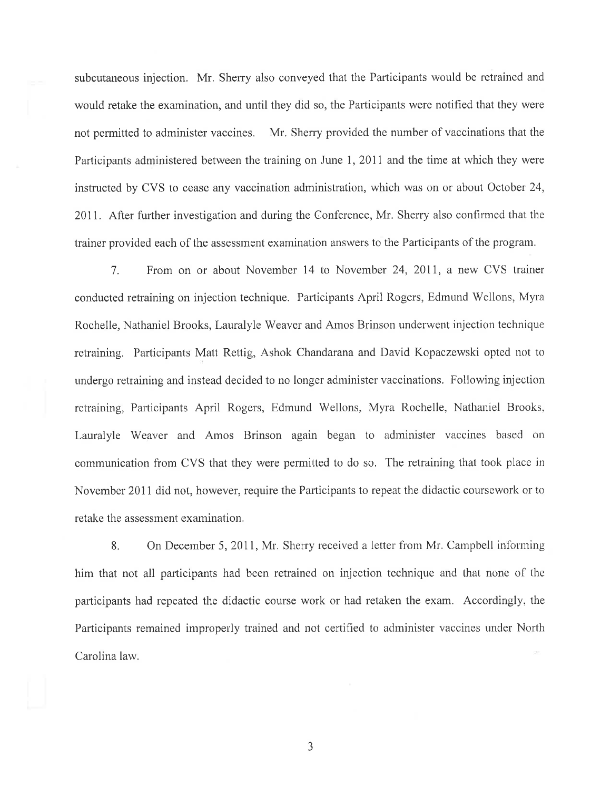subcutaneous injection. Mr. Sherry also conveyed that the Participants would be retrained and would retake the examination, and until they did so, the Participants were notified that they were not permitted to administer vaccines. Mr, Sherry provided the number of vaccinations that the Participants administered between the training on June 1, 2011 and the time at which they were instructed by CVS to cease any vaccination administration, which was on or about October 24, 2011. After further investigation and during the Conference, Mr. Sherry also confirmed that the trainer provided each of the assessment examination answers to the Participants of the program.

7. From on or about November 14 to November 24,2011, a new CVS trainer conducted retraining on injection technique. Participants April Rogers, Edmund Wellons, Myra Rochelle, Nathaniel Brooks, Lauralyle Weaver and Amos Brinson underwent injection technique retraining. Participants Matt Rettig, Ashok Chandarana and David Kopaczewski opted not to undergo retraining and instead decided to no longer administer vaccinations. Following injection retraining, Participants April Rogers, Edmund Wellons, Myra Rochelle, Nathaniel Brooks, Lauralyle Weaver and Amos Brinson again began to administer vaccines based on communiçation fiom CVS that they were permitted to do so, The retraining that took place in November 2011 did not, however, require the Participants to repeat the didactic coursework or to retake the assessment examination.

8. On December 5, 2011, Mr. Sherry received a letter from Mr. Campbell informing him that not all participants had been retrained on injection technique and that none of the participants had repeated the didactic course work or had retaken the exam. Accordingly, the Participants remained improperly trained and not certified to administer vaccines under North Carolina law.

3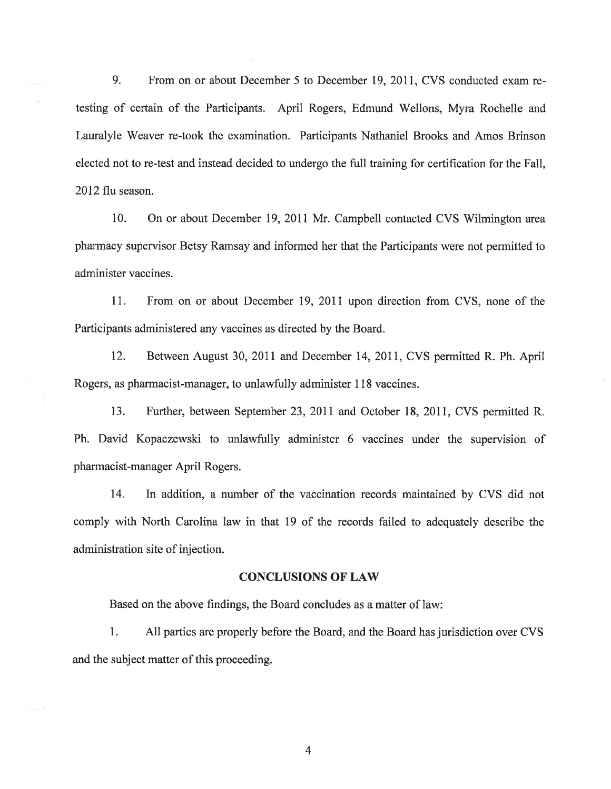9. From on or about December 5 to December 19,2011, CVS conducted exam retesting of certain of the Participants. April Rogers, Edmund Wellons, Myra Rochelle and Lauralyle Weaver re-took the examination. Participants Nathaniel Brooks and Amos Brinson elected not to re-test and instead decided to undergo the full training for certification for the Fall, 2012 flu season.

10. On or about December 19, 2011 Mr. Campbell contacted CVS Wilmington area pharmacy supervisor Betsy Ramsay and informed her that the Participants were not permitted to administer vaccines.

11. From on or about December 19,2011 upon direction from CVS, none of the Participants administered any vaccines as directed by the Board.

12. Between August 30, 2011 and December 14, 2011, CVS permitted R. Ph. April Rogers, as pharmacist-manager, to unlawfully administer 118 vaccines.

13. Further, between September 23,2011 and October 18, 2011, CVS permitted R. Ph. David Kopaczewski to unlawfully administer 6 vaccines under the supervision of pharmacist-manager April Rogers.

14. In addition, a number of the vaccination records maintained by CVS did not comply with North Carolina law in that 19 of the records failed to adequately describe the administration site of injection.

#### CONCLUSIONS OF LAW

Based on the above findings, the Board concludes as a matter of law:

l. All parties are properly before the Board, and the Board has jurisdiction over CVS and the subject matter of this proceeding.

4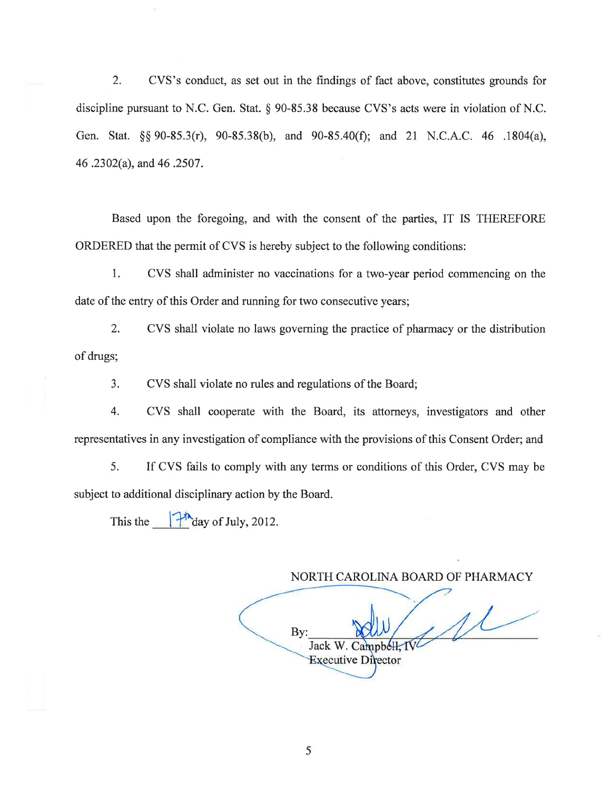2. CVS's conduct, as set out in the findings of fact above, constitutes grounds for discipline pursuant to N.C. Gen. Stat. \$ 90-85.38 because CVS's acts were in violation of N.C. Gen. Stat. \$\$ 90-85.3(r), 90-85.38(b), and 90-85.40(Ð; and 21 N.C.A.C. 46 .1804(a), 46 .2302(a), and 46 .2507.

Based upon the foregoing, and with the consent of the parties, IT IS THEREFORE ORDERED that the permit of CVS is hereby subject to the following conditions:

1. CVS shall administer no vaccinations for a two-year period commencing on the date of the entry of this Order and running for two consecutive years;

2. CVS shall violate no laws goveming the practice of pharmacy or the distribution of drugs;

3. CVS shall violate no rules and regulations of the Board;

4. CVS shall cooperate with the Board, its attorneys, investigators and other representatives in any investigation of compliance with the provisions of this Consent Order; and

5. If CVS fails to comply with any terms or conditions of this Order, CVS may be subject to additional disciplinary action by the Board.

This the  $\int_0^{\pi}$  day of July, 2012.

NORTH CAROLINA BOARD OF PHARMACY  $1/$ By: Jack W. Campbell, IV **Executive Director**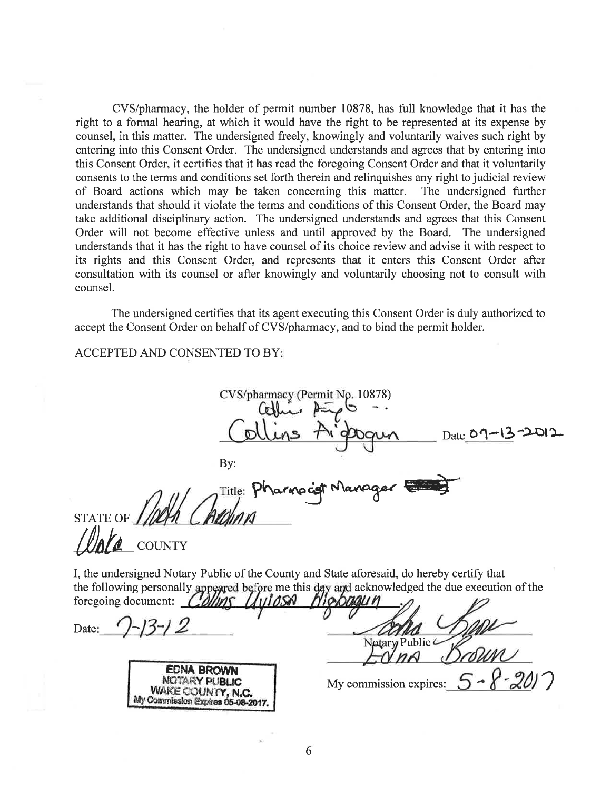CVS/pharmacy, the holder of permit number 10878, has full knowledge that it has the right to a formal hearing, at which it would have the right to be represented at its expense by counsel, in this matter. The undersigned freely, knowingly and voluntarily waives such right by entering into this Consent Order. The undersigned understands and agrees that by entering into this Consent Order, it certifies that it has read the foregoing Consent Order and that it voluntarily consents to the terms and conditions set forth therein and relinquishes any right to judicial review of Board actions which may be taken concerning this matter. The undersigned further understands that should it violate the terms and conditions of this Consent Order, the Board may take additional disciplinary action. The undersigned understands and agrees that this Consent Order will not become effective unless and until approved by the Board. The undersigned understands that it has the right to have counsel of its choice review and advise it with respect to its rights and this Consent Order, and represents that it enters this Consent Order after consultation with its counsel or after knowingly and voluntarily choosing not to consult with counsel.

The undersigned certifies that its agent executing this Consent Order is duly authorized to accept the Consent Order on behalf of CVS/pharmacy, and to bind the permit holder.

## **ACCEPTED AND CONSENTED TO BY:**

CVS/pharmacy (Permit No. 10878) Date  $\delta$ By: Title:  $\mathsf{P}^{\mathsf{t}}$ **STATE OF COUNTY** I, the undersigned Notary Public of the County and State aforesaid, do hereby certify that the following personally appeared before me this day and acknowledged the due execution of the foregoing document: COMMS Date: Notary Public **EDNA BROV** NOTARY PUBLIC My commission expires: WAKE COUNTY, My Commission Expires 05-08-2017